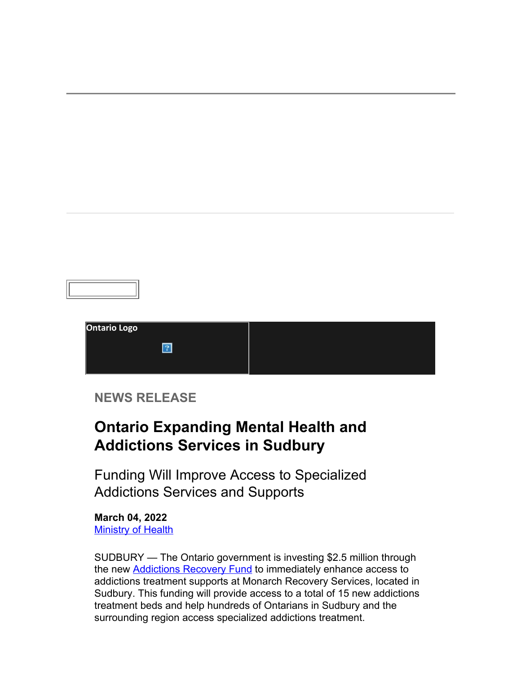| <b>Ontario Logo</b> |  |  |
|---------------------|--|--|
|                     |  |  |
|                     |  |  |

### **NEWS RELEASE**

### **Ontario Expanding Mental Health and Addictions Services in Sudbury**

Funding Will Improve Access to Specialized Addictions Services and Supports

**March 04, 2022 [Ministry of Health](https://u21118854.ct.sendgrid.net/ls/click?upn=lD4dx-2BnG5q0hGva6EtJJPWbkSvJ4GHY8IVkNaerKK0td4jxQDjCHBDuWOq8f-2FLPlfNv42WiaetPYT7TGXYwWoNH6ukgxe-2FNS1vV-2BK8ViCUAVg1IuJqI9Yo7cjI76VBz0SOMk6TqDjOD1oug38AUWwQAuUmXCzb-2BtwRzVpVKGC8nkzHO48PH2MN6PmKnHfD6J8ChOPKJsJ6AwXqIkWqDDVKMPzHP0-2BYGd6PfWQ-2BJoa0JqOA32qujVIRfSbp70TcOqv4qUIDAlLSbmsaKNnDfnaw-3D-3DPupv_vfpktU3vuLfOi-2BhkLkj1VlheVIJqCQvXlfCH8rLKPBlXvJt8oEO8JKcN-2BUuZAXQMPWwj7r8TVD-2Fg0YsntLE9vkXMJd2g8Dtm341trkR435DthzgeRjCRdHGkX02w5gEzxkb08dVy7LqE3JNjxe3powif8i4OGikQQi4JAQIakXnn7WgKTXwMVvfoMkMHYo-2Bd0wGZ9KSqqaTPZKYcqhXFsQ-3D-3D)** 

SUDBURY — The Ontario government is investing \$2.5 million through the new **Addictions Recovery Fund** to immediately enhance access to addictions treatment supports at Monarch Recovery Services, located in Sudbury. This funding will provide access to a total of 15 new addictions treatment beds and help hundreds of Ontarians in Sudbury and the surrounding region access specialized addictions treatment.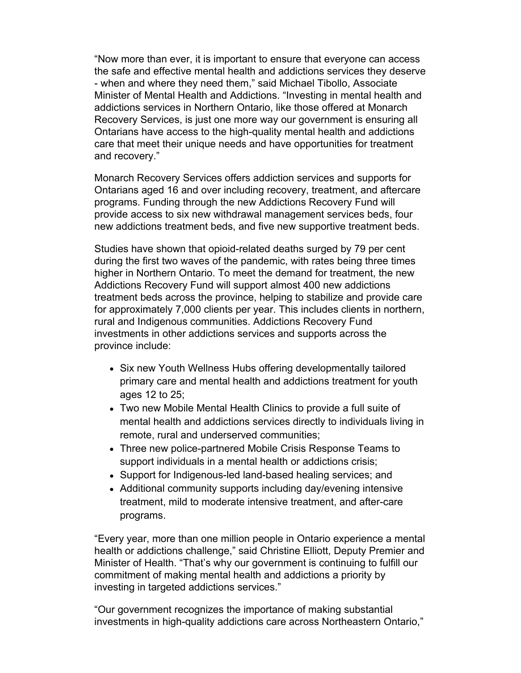"Now more than ever, it is important to ensure that everyone can access the safe and effective mental health and addictions services they deserve - when and where they need them," said Michael Tibollo, Associate Minister of Mental Health and Addictions. "Investing in mental health and addictions services in Northern Ontario, like those offered at Monarch Recovery Services, is just one more way our government is ensuring all Ontarians have access to the high-quality mental health and addictions care that meet their unique needs and have opportunities for treatment and recovery."

Monarch Recovery Services offers addiction services and supports for Ontarians aged 16 and over including recovery, treatment, and aftercare programs. Funding through the new Addictions Recovery Fund will provide access to six new withdrawal management services beds, four new addictions treatment beds, and five new supportive treatment beds.

Studies have shown that opioid-related deaths surged by 79 per cent during the first two waves of the pandemic, with rates being three times higher in Northern Ontario. To meet the demand for treatment, the new Addictions Recovery Fund will support almost 400 new addictions treatment beds across the province, helping to stabilize and provide care for approximately 7,000 clients per year. This includes clients in northern, rural and Indigenous communities. Addictions Recovery Fund investments in other addictions services and supports across the province include:

- Six new Youth Wellness Hubs offering developmentally tailored primary care and mental health and addictions treatment for youth ages 12 to 25;
- Two new Mobile Mental Health Clinics to provide a full suite of mental health and addictions services directly to individuals living in remote, rural and underserved communities;
- Three new police-partnered Mobile Crisis Response Teams to support individuals in a mental health or addictions crisis;
- Support for Indigenous-led land-based healing services; and
- Additional community supports including day/evening intensive treatment, mild to moderate intensive treatment, and after-care programs.

"Every year, more than one million people in Ontario experience a mental health or addictions challenge," said Christine Elliott, Deputy Premier and Minister of Health. "That's why our government is continuing to fulfill our commitment of making mental health and addictions a priority by investing in targeted addictions services."

"Our government recognizes the importance of making substantial investments in high-quality addictions care across Northeastern Ontario,"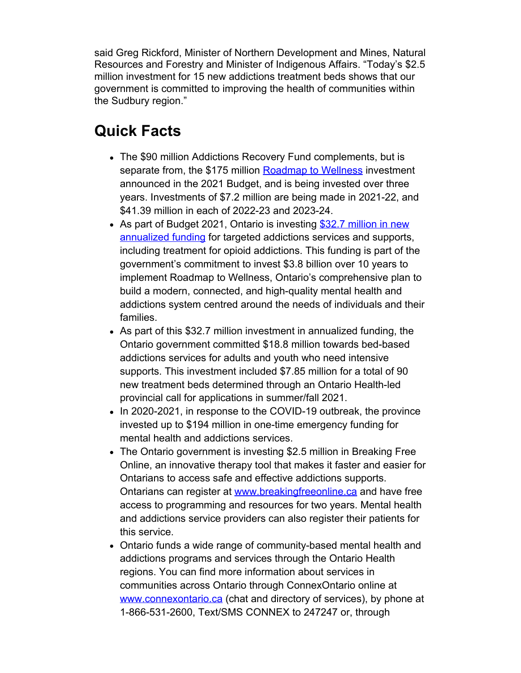said Greg Rickford, Minister of Northern Development and Mines, Natural Resources and Forestry and Minister of Indigenous Affairs. "Today's \$2.5 million investment for 15 new addictions treatment beds shows that our government is committed to improving the health of communities within the Sudbury region."

### **Quick Facts**

- The \$90 million Addictions Recovery Fund complements, but is separate from, the \$175 million [Roadmap to Wellness](https://u21118854.ct.sendgrid.net/ls/click?upn=lD4dx-2BnG5q0hGva6EtJJPXutpHdD30hzQII7KMNv14ZcWCyKHUy6QpgSHPlXFHUGYuGALNgLJSRYuv-2B6lXcmiIJoZFt6Is2mCKUjEaBmfR6odieTU0I5dZRqVQpyjANa-2F4O2JFG-2FbG69b-2FaN-2FKMLHeI-2BWfL2nJ9LPG6D25SOiJnUjZ9L4mE5C2MxTQ9IVqcDXjg0-2ByIgpnize1AkPhUnt2T6FSFamdnmK9w6tMC5xqdhfD4FzBxpHcKO11WzdcA4p4e5O8pgcch7SJ52idiPYgv0mkrtw9F5jLkz17raBU5r8lENAtYVR-2FU1PzcZhMJzJxplzBT-2Fd3dK6Rh1gJ7LNpr4Fz4a-2BfF1YIk296Z6xis-3DhOMS_vfpktU3vuLfOi-2BhkLkj1VlheVIJqCQvXlfCH8rLKPBlXvJt8oEO8JKcN-2BUuZAXQM9qBUQNzaIhrwtiv6pj6wQxRAqBwOPXtQdRVTdawIs7T4mlQXwUEfK6cVcLpKWNVHhHEEQaV9Mt2Z32VBAZnKitk5l5PdEaaEO627f5lMtCZch5EgtQfsHpAmgnyhRoz6LYYnQNoceQh7XRvs9lxClw-3D-3D) investment announced in the 2021 Budget, and is being invested over three years. Investments of \$7.2 million are being made in 2021-22, and \$41.39 million in each of 2022-23 and 2023-24.
- As part of Budget 2021, Ontario is investing [\\$32.7 million in new](https://u21118854.ct.sendgrid.net/ls/click?upn=lD4dx-2BnG5q0hGva6EtJJPWbkSvJ4GHY8IVkNaerKK0vimiGPfwmxCS8uVlRtZhBQJqVH1-2BZNKlKOfHc9hmZhawii4Q-2FNzX-2FSdn2cmUQbnePyHn8keJ2XQjVoCH9NeMXjDDI9NWXvmmOI-2FpH8Fv-2BoeHANv-2FBKJ8vrcAAumnT-2BzfGMWtgO8vzlBpZs24kfItpFhXx4B3H3qUYvedSmA5q602qS-2BsyO0Bi-2FkNsEXR5uRjReVYw71lxa6V13nAWyFRr-2F7SiNYzaLI-2Byi4fqDoJrbQbfJOiig0Qzd7wlJ7bvqPAPheK-2Ff1-2FoFCk6oLaOj91KjEi9HBNGL0GSYvbZ9lU2aJzhZsEaM0oG1XWrzqYk9NR5c5YOHYIW68XtPw811X2dfW748_vfpktU3vuLfOi-2BhkLkj1VlheVIJqCQvXlfCH8rLKPBlXvJt8oEO8JKcN-2BUuZAXQMdyLeD4McqB8uLm5At0wkclZGyBLQX1mAD8Aed4ggZ0kLvw6wb0OzKGLQCIagfOTn02t5gmYnJs525LmJ0Yo0VW8RudFdQK5a3nwS8D6J5-2Bi7Z4tnCuLITYwk4kwrN5cnjQBADjdq9dewBLAVIyEk7Q-3D-3D) [annualized funding](https://u21118854.ct.sendgrid.net/ls/click?upn=lD4dx-2BnG5q0hGva6EtJJPWbkSvJ4GHY8IVkNaerKK0vimiGPfwmxCS8uVlRtZhBQJqVH1-2BZNKlKOfHc9hmZhawii4Q-2FNzX-2FSdn2cmUQbnePyHn8keJ2XQjVoCH9NeMXjDDI9NWXvmmOI-2FpH8Fv-2BoeHANv-2FBKJ8vrcAAumnT-2BzfGMWtgO8vzlBpZs24kfItpFhXx4B3H3qUYvedSmA5q602qS-2BsyO0Bi-2FkNsEXR5uRjReVYw71lxa6V13nAWyFRr-2F7SiNYzaLI-2Byi4fqDoJrbQbfJOiig0Qzd7wlJ7bvqPAPheK-2Ff1-2FoFCk6oLaOj91KjEi9HBNGL0GSYvbZ9lU2aJzhZsEaM0oG1XWrzqYk9NR5c5YOHYIW68XtPw811X2dfW748_vfpktU3vuLfOi-2BhkLkj1VlheVIJqCQvXlfCH8rLKPBlXvJt8oEO8JKcN-2BUuZAXQMdyLeD4McqB8uLm5At0wkclZGyBLQX1mAD8Aed4ggZ0kLvw6wb0OzKGLQCIagfOTn02t5gmYnJs525LmJ0Yo0VW8RudFdQK5a3nwS8D6J5-2Bi7Z4tnCuLITYwk4kwrN5cnjQBADjdq9dewBLAVIyEk7Q-3D-3D) for targeted addictions services and supports, including treatment for opioid addictions. This funding is part of the government's commitment to invest \$3.8 billion over 10 years to implement Roadmap to Wellness, Ontario's comprehensive plan to build a modern, connected, and high-quality mental health and addictions system centred around the needs of individuals and their families.
- As part of this \$32.7 million investment in annualized funding, the Ontario government committed \$18.8 million towards bed-based addictions services for adults and youth who need intensive supports. This investment included \$7.85 million for a total of 90 new treatment beds determined through an Ontario Health-led provincial call for applications in summer/fall 2021.
- In 2020-2021, in response to the COVID-19 outbreak, the province invested up to \$194 million in one-time emergency funding for mental health and addictions services.
- The Ontario government is investing \$2.5 million in Breaking Free Online, an innovative therapy tool that makes it faster and easier for Ontarians to access safe and effective addictions supports. Ontarians can register at [www.breakingfreeonline.ca](https://u21118854.ct.sendgrid.net/ls/click?upn=U6h3DyYUKmysKUBvUPBCArUh29AuDJ0DBBpZ0s81tEtv-2BL-2BrrTfGgPC7krQJkq0mRpKao6k5KHR8x6eIVn8ihp3ckl4MQ7oOIBp9f-2FueAH498Gbo5-2Fed8hJQ9nq31D2sljfL6om6HHOpf1akD8XqXTbADwSdsoqfB3jKVkOL2gdHvtxT3AqBPIKbm0QS0Plz6WIysToMnE2lA14n0NJv-2FWAO-2B0TJ-2F977C9JTpoPRmpgCUsA-2Bk59wX-2FjIuO9dgzpjJhSxNvU3IaUk-2BKni0uss8w-3D-3DdKhY_vfpktU3vuLfOi-2BhkLkj1VlheVIJqCQvXlfCH8rLKPBlXvJt8oEO8JKcN-2BUuZAXQMtZEGDQP5Wfr67Q8YRygUU8gOwCofTuceHpehzh0FD3l1tQ9kHBK94-2F3b9i1-2B47Pjwvp5p2aeo7ZX9jVWWHhk7gnpkkP2n-2Ba8cRFEE8TIn2D6PaHdQWHOrKQ-2BDkZmgbjsjooXVZ9-2FIiLQmarjNJqXgA-3D-3D) and have free access to programming and resources for two years. Mental health and addictions service providers can also register their patients for this service.
- Ontario funds a wide range of community-based mental health and addictions programs and services through the Ontario Health regions. You can find more information about services in communities across Ontario through ConnexOntario online at [www.connexontario.ca](https://u21118854.ct.sendgrid.net/ls/click?upn=U6h3DyYUKmysKUBvUPBCAoXWQxXW-2BHwgtO3p1dyIdnNSj-2FQUgCd4G7wqKLZemVlbFXysx87fTTDqyiMn5rk1EhoL6pUVgE04CmMshudRPO6VpXnJdKkIxwSUq6m2z7gepViZWjfa6e9TwJcAA08Bm03ftpdajNz79vjjQqf1ViiHxWkuvbS2qLlVXY4eKqHaC9dSCUPzdMOZtsnQq0LDwQQF-2Biq5gfXCohsOSLFS1C5Z0PbcND1W9HD4hi0s2Y69lfl5rncN4D7k-2BJomQNiMeg-3D-3DHpt2_vfpktU3vuLfOi-2BhkLkj1VlheVIJqCQvXlfCH8rLKPBlXvJt8oEO8JKcN-2BUuZAXQMqoRxtt-2FwhwPu-2BtBNCN08wG7StyJNN6HaCDyXbiGCz0c8g95JEi3U3zW9oDNjV0qrvHowQMr0JfrnDnBZPbm2PulzzU3WfXLDDdbv3sLonooxPbbVO7YuNNF7uQpZmvSwiiqsW3SuM-2B07TckEQDewQg-3D-3D) (chat and directory of services), by phone at 1-866-531-2600, Text/SMS CONNEX to 247247 or, through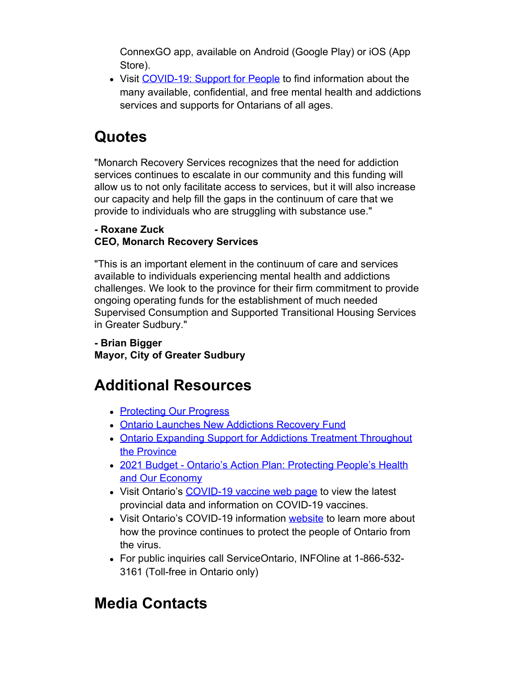ConnexGO app, available on Android (Google Play) or iOS (App Store).

• Visit [COVID-19: Support for People](https://u21118854.ct.sendgrid.net/ls/click?upn=lD4dx-2BnG5q0hGva6EtJJPXutpHdD30hzQII7KMNv14ax2ggQvGa2N4cEjDrQvBSuuglZXP-2FQUOT49RqME1W8in-2BjlGzgPtU7leiJ4Wy8CY0eW-2BQta8gBqy33UAk4TdOelhuJV5l0auk7asapYf9G19sKvlTNXURBqMGxals1dqx6O8VMuLowjRwt8khpEn7fQbixKpZCs3ymMexm-2B745pxowJs1tvCOuwtJzzLUTV7k37EBVRTh2HofCItnXiLTDEaMZQssPGy-2BDlz4PW2hbiSdnlUXgB3Ahht05vBFCiQS2Tai1A9sObfn8A6TYRJpTwDxe_vfpktU3vuLfOi-2BhkLkj1VlheVIJqCQvXlfCH8rLKPBlXvJt8oEO8JKcN-2BUuZAXQM5k7Jmg-2FYUa-2FS5IMLArqujEcYQLOp86vmWd2Q2qBpIon-2FA19nB5M-2BLpRpyuDRYS4XJ2-2BDe86DTPAP1fDachKqK7huX4FWooPktlpadnfyqLVzggYh7LwPyMvtMoiw9c0Cclc09EhhG75qkxe0Qtko2Q-3D-3D) to find information about the many available, confidential, and free mental health and addictions services and supports for Ontarians of all ages.

## **Quotes**

"Monarch Recovery Services recognizes that the need for addiction services continues to escalate in our community and this funding will allow us to not only facilitate access to services, but it will also increase our capacity and help fill the gaps in the continuum of care that we provide to individuals who are struggling with substance use."

#### **- Roxane Zuck CEO, Monarch Recovery Services**

"This is an important element in the continuum of care and services available to individuals experiencing mental health and addictions challenges. We look to the province for their firm commitment to provide ongoing operating funds for the establishment of much needed Supervised Consumption and Supported Transitional Housing Services in Greater Sudbury."

#### **- Brian Bigger Mayor, City of Greater Sudbury**

# **Additional Resources**

- [Protecting Our Progress](https://u21118854.ct.sendgrid.net/ls/click?upn=lD4dx-2BnG5q0hGva6EtJJPYaZZKp3Bjn7iE1pq33xXGB4x8mpmz0A4GTsiaaCfedS-2FvABSY9jVzGl4g2-2BfrqpZJG6FPQbNfb9Nx5f6CXdUhfcCNCAHtufIyueskiZ3jdneSQz6H-2F-2FQ7ocNQsFLL2eITpo10k5ScsNMGxX0OEle3xn5PUfO8lHBKnlOKTXmaRziDlUqAOyV5b4dHWjgntnH44k4-2BocI3x2S4ntdTfv-2FWC8-2FmfjS20dItIaQphxUGaj52zCnJfPmjv7v-2BUqb2A0LQ0phCgL5c7w5SzQHB-2F-2BSTp9qecS8h89Mz3c-2BRhByVLGO2WMh-2BGuEmRI-2F60DTiZkhAphEy8n4SiD-2Bx7pj6th0POLzTQyI6SOukCSF8Y2m7HSskvtgdhv9dC0y4UMtTMX6Rk75VSw-2Fai6byMRvv6xHPcaNtZc78VPLTDHlaYauigD01Hx2diWLUpDBfNDes964mx8IH6EpI48h65esxSmF9Ro-2BPrlMhTovxuJCx3qKrv9Q-2Brfk9B-2Fbp6O8hlBkjK1TA-3D-3D4ObL_vfpktU3vuLfOi-2BhkLkj1VlheVIJqCQvXlfCH8rLKPBlXvJt8oEO8JKcN-2BUuZAXQM5jM-2BTcYRwAvwOSiuIQ-2F4Wty4qaN6Q1kvcNFvqsXriBV6VjC7IHgpnQX9GGnn50ytjjyPh9S7y15PXfUO9ZB5sfSSsASmqEvFSzAeE1TAc-2BTzRS8AFaNnUWo0sSMBfZKWW8SmZpu7Mnalv3iS0GniXg-3D-3D)
- [Ontario Launches New Addictions Recovery Fund](https://u21118854.ct.sendgrid.net/ls/click?upn=lD4dx-2BnG5q0hGva6EtJJPWbkSvJ4GHY8IVkNaerKK0uo5uT1GzbJL7O6nITDlgpbUMXuUSzhraQ3Cj-2FwSNPg-2BJvZCHIPgfjZD3qtvzAttvAEI6epJWX7-2Bd-2B3ToBUWE9x-2F2h9VdZ0q0HSm-2FiE7VsSRp0vgTG-2FBnFNV1j98axiQE3Mqp4sh07OSD5EyWHjwkTlgiGCrA7vVt11oY73iefjNYKCv3FlULY3ohF2MUnAIl8JbqJEV-2FOPpnx3wGbFs9eUA4Nhhyj7j-2BYhj0QKRft46M3P-2Bl979UYV8UEoChSvrZ6RGCSuWY1YiCEt8QPdV8BH-2Fe11imUfrpDKT7nOAp3jCoAkntlHXjN-2BSeB-2FOa-2FjqoM-3D2pCW_vfpktU3vuLfOi-2BhkLkj1VlheVIJqCQvXlfCH8rLKPBlXvJt8oEO8JKcN-2BUuZAXQMpO-2F3CtPDWvq6b59rKPaQKJh-2BdCSFRzTNV0Ls5WaSTKvP66hCPn9e6UElEXjbVXRCZEqcQkq4DpNDrHqsn4bix9KZySthojWV8-2Fzv5lbDNKZWuLiY0587iqmzfBXOXVKi-2Bcnpr6ZKU0FpRRg8l7ekWw-3D-3D)
- [Ontario Expanding Support for Addictions Treatment Throughout](https://u21118854.ct.sendgrid.net/ls/click?upn=lD4dx-2BnG5q0hGva6EtJJPWbkSvJ4GHY8IVkNaerKK0vimiGPfwmxCS8uVlRtZhBQJqVH1-2BZNKlKOfHc9hmZhawii4Q-2FNzX-2FSdn2cmUQbnePyHn8keJ2XQjVoCH9NeMXjDDI9NWXvmmOI-2FpH8Fv-2BoeHANv-2FBKJ8vrcAAumnT-2BzfGMWtgO8vzlBpZs24kfItpFhXx4B3H3qUYvedSmA5q602qS-2BsyO0Bi-2FkNsEXR5uRjReVYw71lxa6V13nAWyFRr-2F7SiNYzaLI-2Byi4fqDoJrbQbfJOiig0Qzd7wlJ7bvqPAPheK-2Ff1-2FoFCk6oLaOj91KjEi9HBNGL0GSYvbZ9lU2aJzhZsEaM0oG1XWrzqYk9NR5c5YOHYIW68XtPw811X2dfhW8j_vfpktU3vuLfOi-2BhkLkj1VlheVIJqCQvXlfCH8rLKPBlXvJt8oEO8JKcN-2BUuZAXQM2XyX8t-2FdbcifBesaQUvAn9-2BBPVps-2BSIJgOl5-2FXjOBGA8t7x27fjLf0ruYxXr-2BhsCUaCjK7z1dUt3H-2BRXqFE8E9uZ5zdFP-2FvLcc2JNLa7wANNoxdWlOXAweI-2FecmDwA3iG5vvXy-2Fqnyz-2FGfajdqzNpQ-3D-3D) [the Province](https://u21118854.ct.sendgrid.net/ls/click?upn=lD4dx-2BnG5q0hGva6EtJJPWbkSvJ4GHY8IVkNaerKK0vimiGPfwmxCS8uVlRtZhBQJqVH1-2BZNKlKOfHc9hmZhawii4Q-2FNzX-2FSdn2cmUQbnePyHn8keJ2XQjVoCH9NeMXjDDI9NWXvmmOI-2FpH8Fv-2BoeHANv-2FBKJ8vrcAAumnT-2BzfGMWtgO8vzlBpZs24kfItpFhXx4B3H3qUYvedSmA5q602qS-2BsyO0Bi-2FkNsEXR5uRjReVYw71lxa6V13nAWyFRr-2F7SiNYzaLI-2Byi4fqDoJrbQbfJOiig0Qzd7wlJ7bvqPAPheK-2Ff1-2FoFCk6oLaOj91KjEi9HBNGL0GSYvbZ9lU2aJzhZsEaM0oG1XWrzqYk9NR5c5YOHYIW68XtPw811X2dfhW8j_vfpktU3vuLfOi-2BhkLkj1VlheVIJqCQvXlfCH8rLKPBlXvJt8oEO8JKcN-2BUuZAXQM2XyX8t-2FdbcifBesaQUvAn9-2BBPVps-2BSIJgOl5-2FXjOBGA8t7x27fjLf0ruYxXr-2BhsCUaCjK7z1dUt3H-2BRXqFE8E9uZ5zdFP-2FvLcc2JNLa7wANNoxdWlOXAweI-2FecmDwA3iG5vvXy-2Fqnyz-2FGfajdqzNpQ-3D-3D)
- [2021 Budget Ontario's Action Plan: Protecting People's Health](https://u21118854.ct.sendgrid.net/ls/click?upn=lD4dx-2BnG5q0hGva6EtJJPYaZZKp3Bjn7iE1pq33xXGASUmVCow8aw4G3QelBHJPfcwFXRmTCqiKa8ZuoC9coQ4hak4QxR5Ya7F8-2F9OgL3lFgVHUmFWcfP5E66SKvwyRU-2Fy9z3OKiUfOR1wdQdQjerALd9BeFJPs0pIMM1cWQ-2BS5A-2BMfIW4dpis9K-2BJ-2BvsvCQz7W-2FWsOssD6UhBYPTt8EXFYbOheNo4gTItsvlBdHMORd2zGIcMUMuTAGNKU-2BTfWoa1-2F1m-2B3Yxquh45pNywuuAv-2B87Uo0qfIMA-2BgmPDnpjR4-3D_wyp_vfpktU3vuLfOi-2BhkLkj1VlheVIJqCQvXlfCH8rLKPBlXvJt8oEO8JKcN-2BUuZAXQM1H8vKnoe71ZMzJRq7Qy01LpAC50Fi4qVXRSOax5qJGGFW-2BASF7Bn7XaLokJOSK74Nvktr5pfSRkCMKTlvGwanMAHA3IEHBwwMZvj8UBwTlyoArX3w2RhkU8UxVHaKtssoL-2BdoYSUri385m8ku5e83Q-3D-3D) [and Our Economy](https://u21118854.ct.sendgrid.net/ls/click?upn=lD4dx-2BnG5q0hGva6EtJJPYaZZKp3Bjn7iE1pq33xXGASUmVCow8aw4G3QelBHJPfcwFXRmTCqiKa8ZuoC9coQ4hak4QxR5Ya7F8-2F9OgL3lFgVHUmFWcfP5E66SKvwyRU-2Fy9z3OKiUfOR1wdQdQjerALd9BeFJPs0pIMM1cWQ-2BS5A-2BMfIW4dpis9K-2BJ-2BvsvCQz7W-2FWsOssD6UhBYPTt8EXFYbOheNo4gTItsvlBdHMORd2zGIcMUMuTAGNKU-2BTfWoa1-2F1m-2B3Yxquh45pNywuuAv-2B87Uo0qfIMA-2BgmPDnpjR4-3D_wyp_vfpktU3vuLfOi-2BhkLkj1VlheVIJqCQvXlfCH8rLKPBlXvJt8oEO8JKcN-2BUuZAXQM1H8vKnoe71ZMzJRq7Qy01LpAC50Fi4qVXRSOax5qJGGFW-2BASF7Bn7XaLokJOSK74Nvktr5pfSRkCMKTlvGwanMAHA3IEHBwwMZvj8UBwTlyoArX3w2RhkU8UxVHaKtssoL-2BdoYSUri385m8ku5e83Q-3D-3D)
- Visit Ontario's [COVID-19 vaccine web page](https://u21118854.ct.sendgrid.net/ls/click?upn=lD4dx-2BnG5q0hGva6EtJJPR7Qk5Ow5WlNPUtrxT1k86ic1VmDW-2B465fgu6MeJMB-2FpMWpJ1i81-2FTMHHeZDJb9XJcSziA9dJtpgMdsziNch8oO65jCRwi-2BjTFxKvYL0MIbhG5Ibz8-2F4glvJFUky2tFbTa7bd2roOCryscbsfOaaisIcFkzEkhsIvZBMKQcfEsubqAM85KgV94X6uB0cxskrzvRhBJ8-2FmL3RO0DudIvQjz9tMIZ8ePNlpbuCmUdlO2lVEMbUIrMqh1hyUC1ptparM-2BbDJtybCEDCzGQAqlS9Fyw-3DHuKm_vfpktU3vuLfOi-2BhkLkj1VlheVIJqCQvXlfCH8rLKPBlXvJt8oEO8JKcN-2BUuZAXQMloeqnZFXEg9TgCb0O5hG7LjHjnykh2RLPmIWepxwRGrfRgXwFcdgHz5MmCKM-2FkV6-2BGpIgNsv-2FMJX426TFzpehHFPVXINkuDoejo841myHqKMApWRnUvu06-2F6o-2BKuWtsAJsAHGfyU6AgtUjCJr5RG1w-3D-3D) to view the latest provincial data and information on COVID-19 vaccines.
- Visit Ontario's COVID-19 information [website](https://u21118854.ct.sendgrid.net/ls/click?upn=lD4dx-2BnG5q0hGva6EtJJPR7Qk5Ow5WlNPUtrxT1k86i2MCzA4tA7a94coiGOV1Td4xGc88-2BW-2BL9mPkj3YNF77GUQktwvPuqYjA-2BGialQct1QvkaNBnhJj-2FZ46TwS4Om0IHfzt9T75VvOJKsEM-2BYS0YS7TNICoEM9x34XOQK5U9sXxn-2BN3y21EfV8XJ37e1ctjpkVBlgxgzoXf-2FogqRPeFVAr-2BHeclw0bzdW0VQsV1JQ-2FPZHgTYXGQK7FuwSC-2FoxeWAyWxrA5PhuZTJl8UUfubQ-3D-3DI6eC_vfpktU3vuLfOi-2BhkLkj1VlheVIJqCQvXlfCH8rLKPBlXvJt8oEO8JKcN-2BUuZAXQMA58ImC0gXPMMCpDVUmV3lUW1BNvn3bQYOazBlLtezw9Cbpbob1Rqavp8kFqdlCWeWJYxDCxfUjqzTJwDG30zuM1GSV1AzYQos61vzrimKiTfNrbkOrJit6AAFXzdPz6W6mBFxO3ScdF-2FZqkIUujLkg-3D-3D) to learn more about how the province continues to protect the people of Ontario from the virus.
- For public inquiries call ServiceOntario, INFOline at 1-866-532- 3161 (Toll-free in Ontario only)

# **Media Contacts**